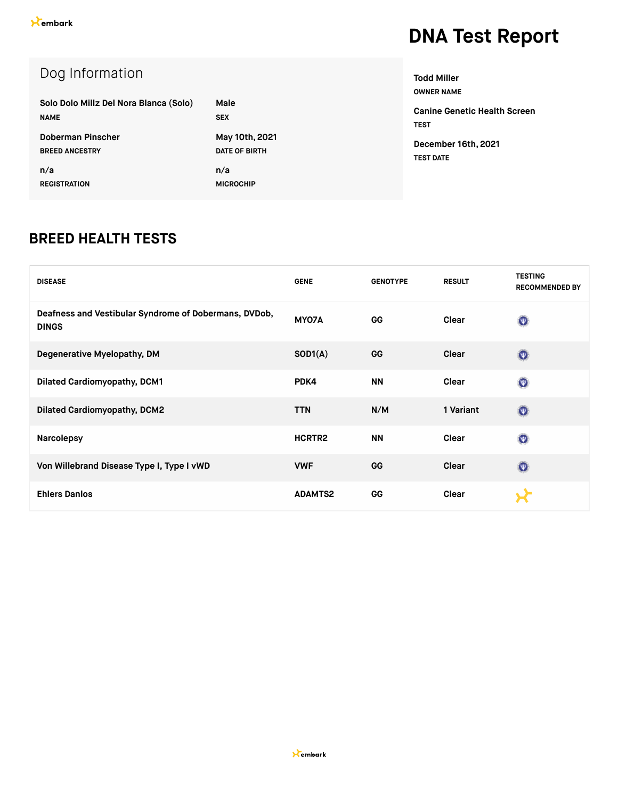### Dog Information

| Solo Dolo Millz Del Nora Blanca (Solo) | Male                 |
|----------------------------------------|----------------------|
| <b>NAME</b>                            | <b>SEX</b>           |
| Doberman Pinscher                      | May 10th, 2021       |
| <b>BREED ANCESTRY</b>                  | <b>DATE OF BIRTH</b> |
| n/a                                    | n/a                  |
| <b>REGISTRATION</b>                    | <b>MICROCHIP</b>     |

**OWNER NAME Canine Genetic Health Screen TEST**

**Todd Miller**

**December 16th, 2021 TEST DATE**

#### **BREED HEALTH TESTS**

| <b>DISEASE</b>                                                        | <b>GENE</b>        | <b>GENOTYPE</b> | <b>RESULT</b> | <b>TESTING</b><br><b>RECOMMENDED BY</b> |
|-----------------------------------------------------------------------|--------------------|-----------------|---------------|-----------------------------------------|
| Deafness and Vestibular Syndrome of Dobermans, DVDob,<br><b>DINGS</b> | MY07A              | GG              | Clear         | $\odot$                                 |
| Degenerative Myelopathy, DM                                           | SOD1(A)            | GG              | <b>Clear</b>  | $\odot$                                 |
| <b>Dilated Cardiomyopathy, DCM1</b>                                   | PDK4               | <b>NN</b>       | Clear         | $\circledcirc$                          |
| <b>Dilated Cardiomyopathy, DCM2</b>                                   | <b>TTN</b>         | N/M             | 1 Variant     | $\odot$                                 |
| <b>Narcolepsy</b>                                                     | HCRTR <sub>2</sub> | <b>NN</b>       | Clear         | $\odot$                                 |
| Von Willebrand Disease Type I, Type I vWD                             | <b>VWF</b>         | GG              | <b>Clear</b>  | $\odot$                                 |
| <b>Ehlers Danlos</b>                                                  | <b>ADAMTS2</b>     | GG              | Clear         |                                         |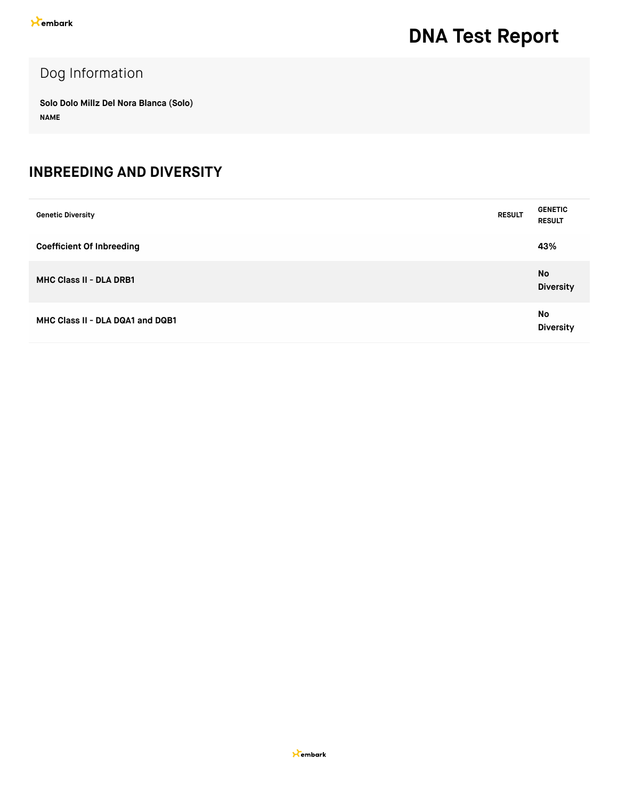### Dog Information

**Solo Dolo Millz Del Nora Blanca (Solo) NAME**

#### **INBREEDING AND DIVERSITY**

| <b>Genetic Diversity</b>         | <b>RESULT</b> | <b>GENETIC</b><br><b>RESULT</b> |
|----------------------------------|---------------|---------------------------------|
| <b>Coefficient Of Inbreeding</b> |               | 43%                             |
| <b>MHC Class II - DLA DRB1</b>   |               | No<br><b>Diversity</b>          |
| MHC Class II - DLA DQA1 and DQB1 |               | No<br><b>Diversity</b>          |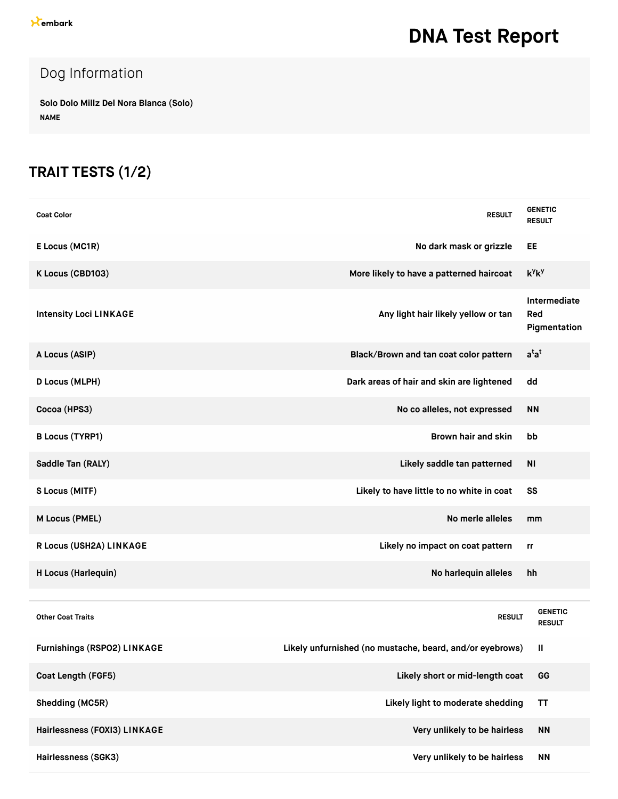### Dog Information

**Solo Dolo Millz Del Nora Blanca (Solo) NAME**

### **TRAIT TESTS (1/2)**

| <b>Coat Color</b>                  | <b>RESULT</b>                                            | <b>GENETIC</b><br><b>RESULT</b>     |
|------------------------------------|----------------------------------------------------------|-------------------------------------|
| E Locus (MC1R)                     | No dark mask or grizzle                                  | EE                                  |
| K Locus (CBD103)                   | More likely to have a patterned haircoat                 | $k^y k^y$                           |
| <b>Intensity Loci LINKAGE</b>      | Any light hair likely yellow or tan                      | Intermediate<br>Red<br>Pigmentation |
| A Locus (ASIP)                     | Black/Brown and tan coat color pattern                   | $a^{t}a^{t}$                        |
| <b>D Locus (MLPH)</b>              | Dark areas of hair and skin are lightened                | dd                                  |
| Cocoa (HPS3)                       | No co alleles, not expressed                             | <b>NN</b>                           |
| <b>B Locus (TYRP1)</b>             | Brown hair and skin                                      | bb                                  |
| Saddle Tan (RALY)                  | Likely saddle tan patterned                              | <b>NI</b>                           |
| S Locus (MITF)                     | Likely to have little to no white in coat                | SS                                  |
| M Locus (PMEL)                     | No merle alleles                                         | mm                                  |
| R Locus (USH2A) LINKAGE            | Likely no impact on coat pattern                         | rr                                  |
| H Locus (Harlequin)                | No harlequin alleles                                     | hh                                  |
|                                    |                                                          |                                     |
| <b>Other Coat Traits</b>           | <b>RESULT</b>                                            | <b>GENETIC</b><br><b>RESULT</b>     |
| <b>Furnishings (RSPO2) LINKAGE</b> | Likely unfurnished (no mustache, beard, and/or eyebrows) | Ш                                   |
| Coat Length (FGF5)                 | Likely short or mid-length coat                          | GG                                  |
| Shedding (MC5R)                    | Likely light to moderate shedding                        | <b>TT</b>                           |
| Hairlessness (FOXI3) LINKAGE       | Very unlikely to be hairless                             | <b>NN</b>                           |
| Hairlessness (SGK3)                | Very unlikely to be hairless                             | <b>NN</b>                           |